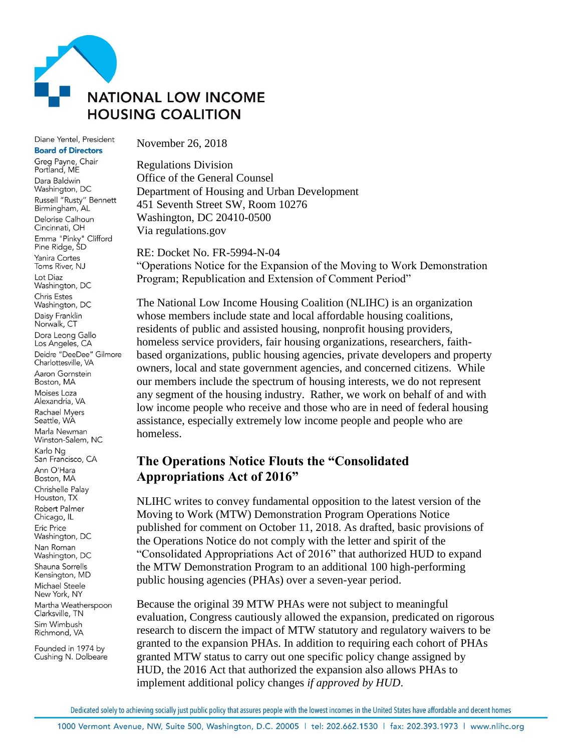

Diane Yentel, President **Board of Directors** 

Greg Payne, Chair Portland, ME Dara Baldwin Washington, DC Russell "Rusty" Bennett Birmingham, AL Delorise Calhoun Cincinnati, OH Emma "Pinky" Clifford Pine Ridge, SD Yanira Cortes Toms River, NJ Lot Diaz Washington, DC Chris Estes Washington, DC Daisy Franklin Norwalk, CT Dora Leong Gallo Los Angeles, CA Deidre "DeeDee" Gilmore Charlottesville, VA Aaron Gornstein Boston, MA Moises Loza Alexandria, VA Rachael Myers Seattle, WA Marla Newman Winston-Salem, NC Karlo Ng San Francisco, CA Ann O'Hara Boston, MA Chrishelle Palay Houston, TX **Robert Palmer** Chicago, IL **Eric Price** Washington, DC Nan Roman Washington, DC Shauna Sorrells Kensington, MD Michael Steele New York, NY Martha Weatherspoon Clarksville, TN Sim Wimbush Richmond, VA

Founded in 1974 by Cushing N. Dolbeare November 26, 2018

Regulations Division Office of the General Counsel Department of Housing and Urban Development 451 Seventh Street SW, Room 10276 Washington, DC 20410-0500 Via regulations.gov

RE: Docket No. FR-5994-N-04 "Operations Notice for the Expansion of the Moving to Work Demonstration Program; Republication and Extension of Comment Period"

The National Low Income Housing Coalition (NLIHC) is an organization whose members include state and local affordable housing coalitions, residents of public and assisted housing, nonprofit housing providers, homeless service providers, fair housing organizations, researchers, faithbased organizations, public housing agencies, private developers and property owners, local and state government agencies, and concerned citizens. While our members include the spectrum of housing interests, we do not represent any segment of the housing industry. Rather, we work on behalf of and with low income people who receive and those who are in need of federal housing assistance, especially extremely low income people and people who are homeless.

## **The Operations Notice Flouts the "Consolidated Appropriations Act of 2016"**

NLIHC writes to convey fundamental opposition to the latest version of the Moving to Work (MTW) Demonstration Program Operations Notice published for comment on October 11, 2018. As drafted, basic provisions of the Operations Notice do not comply with the letter and spirit of the "Consolidated Appropriations Act of 2016" that authorized HUD to expand the MTW Demonstration Program to an additional 100 high-performing public housing agencies (PHAs) over a seven-year period.

Because the original 39 MTW PHAs were not subject to meaningful evaluation, Congress cautiously allowed the expansion, predicated on rigorous research to discern the impact of MTW statutory and regulatory waivers to be granted to the expansion PHAs. In addition to requiring each cohort of PHAs granted MTW status to carry out one specific policy change assigned by HUD, the 2016 Act that authorized the expansion also allows PHAs to implement additional policy changes *if approved by HUD*.

Dedicated solely to achieving socially just public policy that assures people with the lowest incomes in the United States have affordable and decent homes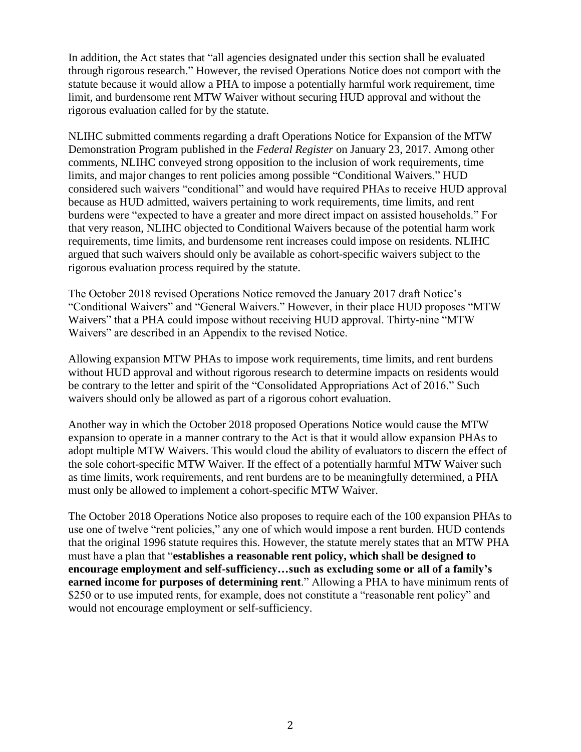In addition, the Act states that "all agencies designated under this section shall be evaluated through rigorous research." However, the revised Operations Notice does not comport with the statute because it would allow a PHA to impose a potentially harmful work requirement, time limit, and burdensome rent MTW Waiver without securing HUD approval and without the rigorous evaluation called for by the statute.

NLIHC submitted comments regarding a draft Operations Notice for Expansion of the MTW Demonstration Program published in the *Federal Register* on January 23, 2017. Among other comments, NLIHC conveyed strong opposition to the inclusion of work requirements, time limits, and major changes to rent policies among possible "Conditional Waivers." HUD considered such waivers "conditional" and would have required PHAs to receive HUD approval because as HUD admitted, waivers pertaining to work requirements, time limits, and rent burdens were "expected to have a greater and more direct impact on assisted households." For that very reason, NLIHC objected to Conditional Waivers because of the potential harm work requirements, time limits, and burdensome rent increases could impose on residents. NLIHC argued that such waivers should only be available as cohort-specific waivers subject to the rigorous evaluation process required by the statute.

The October 2018 revised Operations Notice removed the January 2017 draft Notice's "Conditional Waivers" and "General Waivers." However, in their place HUD proposes "MTW Waivers" that a PHA could impose without receiving HUD approval. Thirty-nine "MTW Waivers" are described in an Appendix to the revised Notice.

Allowing expansion MTW PHAs to impose work requirements, time limits, and rent burdens without HUD approval and without rigorous research to determine impacts on residents would be contrary to the letter and spirit of the "Consolidated Appropriations Act of 2016." Such waivers should only be allowed as part of a rigorous cohort evaluation.

Another way in which the October 2018 proposed Operations Notice would cause the MTW expansion to operate in a manner contrary to the Act is that it would allow expansion PHAs to adopt multiple MTW Waivers. This would cloud the ability of evaluators to discern the effect of the sole cohort-specific MTW Waiver. If the effect of a potentially harmful MTW Waiver such as time limits, work requirements, and rent burdens are to be meaningfully determined, a PHA must only be allowed to implement a cohort-specific MTW Waiver.

The October 2018 Operations Notice also proposes to require each of the 100 expansion PHAs to use one of twelve "rent policies," any one of which would impose a rent burden. HUD contends that the original 1996 statute requires this. However, the statute merely states that an MTW PHA must have a plan that "**establishes a reasonable rent policy, which shall be designed to encourage employment and self-sufficiency…such as excluding some or all of a family's earned income for purposes of determining rent**." Allowing a PHA to have minimum rents of \$250 or to use imputed rents, for example, does not constitute a "reasonable rent policy" and would not encourage employment or self-sufficiency.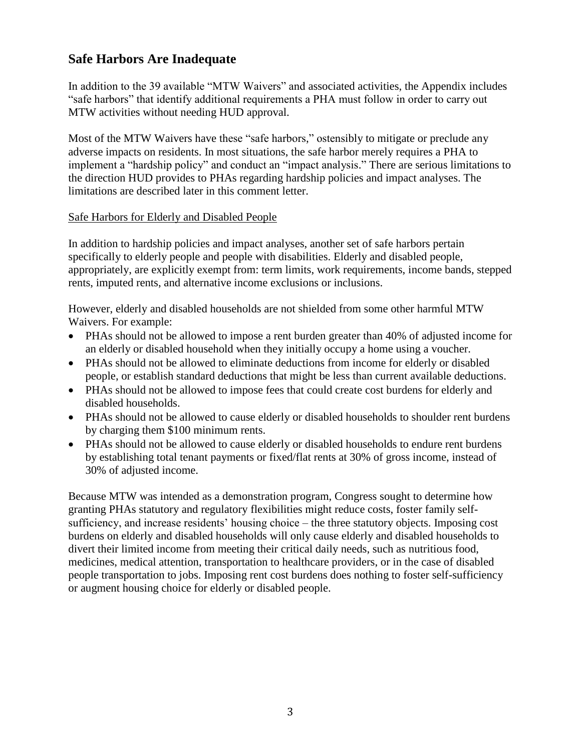# **Safe Harbors Are Inadequate**

In addition to the 39 available "MTW Waivers" and associated activities, the Appendix includes "safe harbors" that identify additional requirements a PHA must follow in order to carry out MTW activities without needing HUD approval.

Most of the MTW Waivers have these "safe harbors," ostensibly to mitigate or preclude any adverse impacts on residents. In most situations, the safe harbor merely requires a PHA to implement a "hardship policy" and conduct an "impact analysis." There are serious limitations to the direction HUD provides to PHAs regarding hardship policies and impact analyses. The limitations are described later in this comment letter.

### Safe Harbors for Elderly and Disabled People

In addition to hardship policies and impact analyses, another set of safe harbors pertain specifically to elderly people and people with disabilities. Elderly and disabled people, appropriately, are explicitly exempt from: term limits, work requirements, income bands, stepped rents, imputed rents, and alternative income exclusions or inclusions.

However, elderly and disabled households are not shielded from some other harmful MTW Waivers. For example:

- PHAs should not be allowed to impose a rent burden greater than 40% of adjusted income for an elderly or disabled household when they initially occupy a home using a voucher.
- PHAs should not be allowed to eliminate deductions from income for elderly or disabled people, or establish standard deductions that might be less than current available deductions.
- PHAs should not be allowed to impose fees that could create cost burdens for elderly and disabled households.
- PHAs should not be allowed to cause elderly or disabled households to shoulder rent burdens by charging them \$100 minimum rents.
- PHAs should not be allowed to cause elderly or disabled households to endure rent burdens by establishing total tenant payments or fixed/flat rents at 30% of gross income, instead of 30% of adjusted income.

Because MTW was intended as a demonstration program, Congress sought to determine how granting PHAs statutory and regulatory flexibilities might reduce costs, foster family selfsufficiency, and increase residents' housing choice – the three statutory objects. Imposing cost burdens on elderly and disabled households will only cause elderly and disabled households to divert their limited income from meeting their critical daily needs, such as nutritious food, medicines, medical attention, transportation to healthcare providers, or in the case of disabled people transportation to jobs. Imposing rent cost burdens does nothing to foster self-sufficiency or augment housing choice for elderly or disabled people.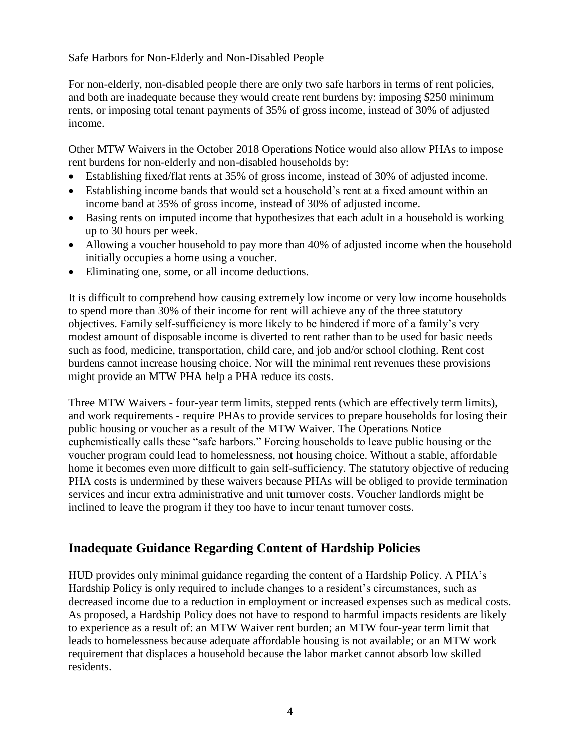### Safe Harbors for Non-Elderly and Non-Disabled People

For non-elderly, non-disabled people there are only two safe harbors in terms of rent policies, and both are inadequate because they would create rent burdens by: imposing \$250 minimum rents, or imposing total tenant payments of 35% of gross income, instead of 30% of adjusted income.

Other MTW Waivers in the October 2018 Operations Notice would also allow PHAs to impose rent burdens for non-elderly and non-disabled households by:

- Establishing fixed/flat rents at 35% of gross income, instead of 30% of adjusted income.
- Establishing income bands that would set a household's rent at a fixed amount within an income band at 35% of gross income, instead of 30% of adjusted income.
- Basing rents on imputed income that hypothesizes that each adult in a household is working up to 30 hours per week.
- Allowing a voucher household to pay more than 40% of adjusted income when the household initially occupies a home using a voucher.
- Eliminating one, some, or all income deductions.

It is difficult to comprehend how causing extremely low income or very low income households to spend more than 30% of their income for rent will achieve any of the three statutory objectives. Family self-sufficiency is more likely to be hindered if more of a family's very modest amount of disposable income is diverted to rent rather than to be used for basic needs such as food, medicine, transportation, child care, and job and/or school clothing. Rent cost burdens cannot increase housing choice. Nor will the minimal rent revenues these provisions might provide an MTW PHA help a PHA reduce its costs.

Three MTW Waivers - four-year term limits, stepped rents (which are effectively term limits), and work requirements - require PHAs to provide services to prepare households for losing their public housing or voucher as a result of the MTW Waiver. The Operations Notice euphemistically calls these "safe harbors." Forcing households to leave public housing or the voucher program could lead to homelessness, not housing choice. Without a stable, affordable home it becomes even more difficult to gain self-sufficiency. The statutory objective of reducing PHA costs is undermined by these waivers because PHAs will be obliged to provide termination services and incur extra administrative and unit turnover costs. Voucher landlords might be inclined to leave the program if they too have to incur tenant turnover costs.

## **Inadequate Guidance Regarding Content of Hardship Policies**

HUD provides only minimal guidance regarding the content of a Hardship Policy. A PHA's Hardship Policy is only required to include changes to a resident's circumstances, such as decreased income due to a reduction in employment or increased expenses such as medical costs. As proposed, a Hardship Policy does not have to respond to harmful impacts residents are likely to experience as a result of: an MTW Waiver rent burden; an MTW four-year term limit that leads to homelessness because adequate affordable housing is not available; or an MTW work requirement that displaces a household because the labor market cannot absorb low skilled residents.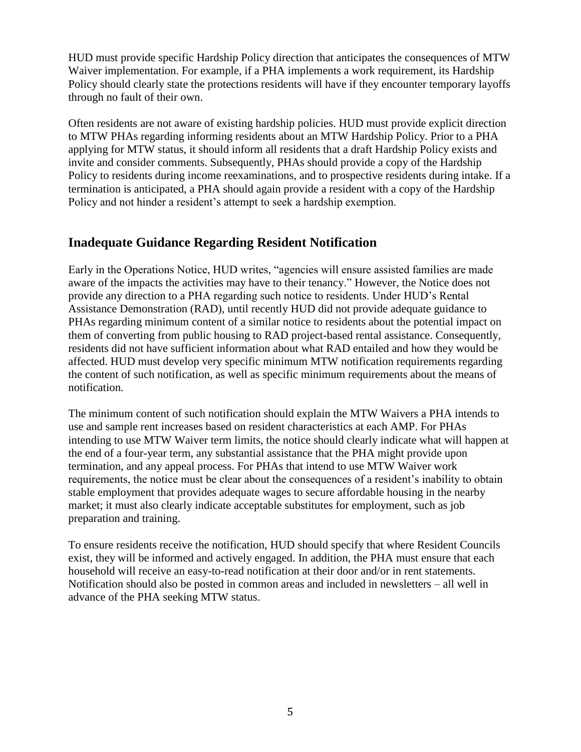HUD must provide specific Hardship Policy direction that anticipates the consequences of MTW Waiver implementation. For example, if a PHA implements a work requirement, its Hardship Policy should clearly state the protections residents will have if they encounter temporary layoffs through no fault of their own.

Often residents are not aware of existing hardship policies. HUD must provide explicit direction to MTW PHAs regarding informing residents about an MTW Hardship Policy. Prior to a PHA applying for MTW status, it should inform all residents that a draft Hardship Policy exists and invite and consider comments. Subsequently, PHAs should provide a copy of the Hardship Policy to residents during income reexaminations, and to prospective residents during intake. If a termination is anticipated, a PHA should again provide a resident with a copy of the Hardship Policy and not hinder a resident's attempt to seek a hardship exemption.

## **Inadequate Guidance Regarding Resident Notification**

Early in the Operations Notice, HUD writes, "agencies will ensure assisted families are made aware of the impacts the activities may have to their tenancy." However, the Notice does not provide any direction to a PHA regarding such notice to residents. Under HUD's Rental Assistance Demonstration (RAD), until recently HUD did not provide adequate guidance to PHAs regarding minimum content of a similar notice to residents about the potential impact on them of converting from public housing to RAD project-based rental assistance. Consequently, residents did not have sufficient information about what RAD entailed and how they would be affected. HUD must develop very specific minimum MTW notification requirements regarding the content of such notification, as well as specific minimum requirements about the means of notification.

The minimum content of such notification should explain the MTW Waivers a PHA intends to use and sample rent increases based on resident characteristics at each AMP. For PHAs intending to use MTW Waiver term limits, the notice should clearly indicate what will happen at the end of a four-year term, any substantial assistance that the PHA might provide upon termination, and any appeal process. For PHAs that intend to use MTW Waiver work requirements, the notice must be clear about the consequences of a resident's inability to obtain stable employment that provides adequate wages to secure affordable housing in the nearby market; it must also clearly indicate acceptable substitutes for employment, such as job preparation and training.

To ensure residents receive the notification, HUD should specify that where Resident Councils exist, they will be informed and actively engaged. In addition, the PHA must ensure that each household will receive an easy-to-read notification at their door and/or in rent statements. Notification should also be posted in common areas and included in newsletters – all well in advance of the PHA seeking MTW status.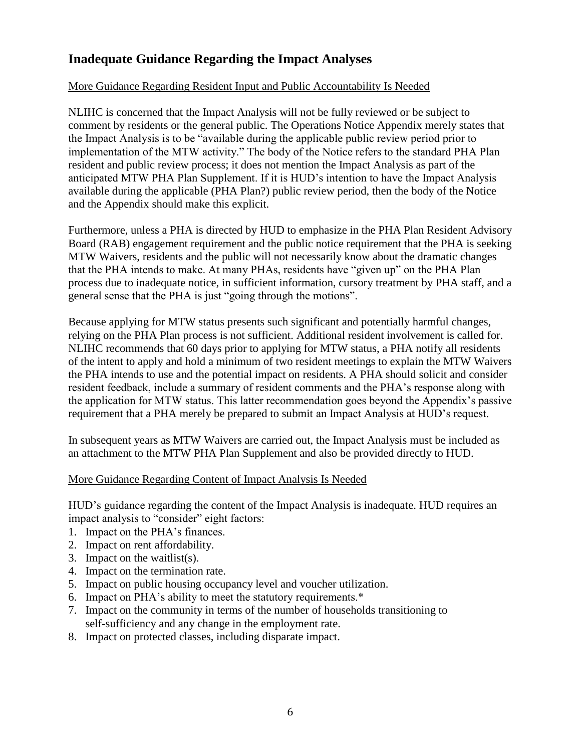# **Inadequate Guidance Regarding the Impact Analyses**

### More Guidance Regarding Resident Input and Public Accountability Is Needed

NLIHC is concerned that the Impact Analysis will not be fully reviewed or be subject to comment by residents or the general public. The Operations Notice Appendix merely states that the Impact Analysis is to be "available during the applicable public review period prior to implementation of the MTW activity." The body of the Notice refers to the standard PHA Plan resident and public review process; it does not mention the Impact Analysis as part of the anticipated MTW PHA Plan Supplement. If it is HUD's intention to have the Impact Analysis available during the applicable (PHA Plan?) public review period, then the body of the Notice and the Appendix should make this explicit.

Furthermore, unless a PHA is directed by HUD to emphasize in the PHA Plan Resident Advisory Board (RAB) engagement requirement and the public notice requirement that the PHA is seeking MTW Waivers, residents and the public will not necessarily know about the dramatic changes that the PHA intends to make. At many PHAs, residents have "given up" on the PHA Plan process due to inadequate notice, in sufficient information, cursory treatment by PHA staff, and a general sense that the PHA is just "going through the motions".

Because applying for MTW status presents such significant and potentially harmful changes, relying on the PHA Plan process is not sufficient. Additional resident involvement is called for. NLIHC recommends that 60 days prior to applying for MTW status, a PHA notify all residents of the intent to apply and hold a minimum of two resident meetings to explain the MTW Waivers the PHA intends to use and the potential impact on residents. A PHA should solicit and consider resident feedback, include a summary of resident comments and the PHA's response along with the application for MTW status. This latter recommendation goes beyond the Appendix's passive requirement that a PHA merely be prepared to submit an Impact Analysis at HUD's request.

In subsequent years as MTW Waivers are carried out, the Impact Analysis must be included as an attachment to the MTW PHA Plan Supplement and also be provided directly to HUD.

#### More Guidance Regarding Content of Impact Analysis Is Needed

HUD's guidance regarding the content of the Impact Analysis is inadequate. HUD requires an impact analysis to "consider" eight factors:

- 1. Impact on the PHA's finances.
- 2. Impact on rent affordability.
- 3. Impact on the waitlist(s).
- 4. Impact on the termination rate.
- 5. Impact on public housing occupancy level and voucher utilization.
- 6. Impact on PHA's ability to meet the statutory requirements.\*
- 7. Impact on the community in terms of the number of households transitioning to self-sufficiency and any change in the employment rate.
- 8. Impact on protected classes, including disparate impact.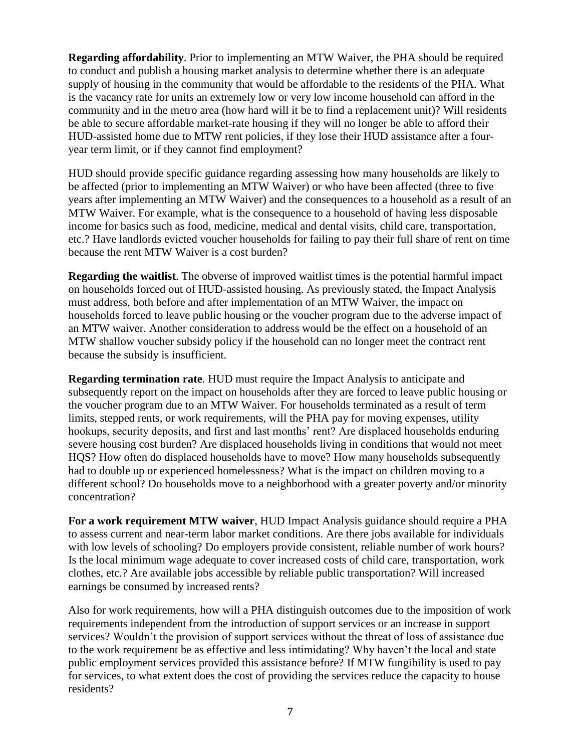**Regarding affordability**. Prior to implementing an MTW Waiver, the PHA should be required to conduct and publish a housing market analysis to determine whether there is an adequate supply of housing in the community that would be affordable to the residents of the PHA. What is the vacancy rate for units an extremely low or very low income household can afford in the community and in the metro area (how hard will it be to find a replacement unit)? Will residents be able to secure affordable market-rate housing if they will no longer be able to afford their HUD-assisted home due to MTW rent policies, if they lose their HUD assistance after a fouryear term limit, or if they cannot find employment?

HUD should provide specific guidance regarding assessing how many households are likely to be affected (prior to implementing an MTW Waiver) or who have been affected (three to five years after implementing an MTW Waiver) and the consequences to a household as a result of an MTW Waiver. For example, what is the consequence to a household of having less disposable income for basics such as food, medicine, medical and dental visits, child care, transportation, etc.? Have landlords evicted voucher households for failing to pay their full share of rent on time because the rent MTW Waiver is a cost burden?

**Regarding the waitlist**. The obverse of improved waitlist times is the potential harmful impact on households forced out of HUD-assisted housing. As previously stated, the Impact Analysis must address, both before and after implementation of an MTW Waiver, the impact on households forced to leave public housing or the voucher program due to the adverse impact of an MTW waiver. Another consideration to address would be the effect on a household of an MTW shallow voucher subsidy policy if the household can no longer meet the contract rent because the subsidy is insufficient.

**Regarding termination rate**. HUD must require the Impact Analysis to anticipate and subsequently report on the impact on households after they are forced to leave public housing or the voucher program due to an MTW Waiver. For households terminated as a result of term limits, stepped rents, or work requirements, will the PHA pay for moving expenses, utility hookups, security deposits, and first and last months' rent? Are displaced households enduring severe housing cost burden? Are displaced households living in conditions that would not meet HQS? How often do displaced households have to move? How many households subsequently had to double up or experienced homelessness? What is the impact on children moving to a different school? Do households move to a neighborhood with a greater poverty and/or minority concentration?

**For a work requirement MTW waiver**, HUD Impact Analysis guidance should require a PHA to assess current and near-term labor market conditions. Are there jobs available for individuals with low levels of schooling? Do employers provide consistent, reliable number of work hours? Is the local minimum wage adequate to cover increased costs of child care, transportation, work clothes, etc.? Are available jobs accessible by reliable public transportation? Will increased earnings be consumed by increased rents?

Also for work requirements, how will a PHA distinguish outcomes due to the imposition of work requirements independent from the introduction of support services or an increase in support services? Wouldn't the provision of support services without the threat of loss of assistance due to the work requirement be as effective and less intimidating? Why haven't the local and state public employment services provided this assistance before? If MTW fungibility is used to pay for services, to what extent does the cost of providing the services reduce the capacity to house residents?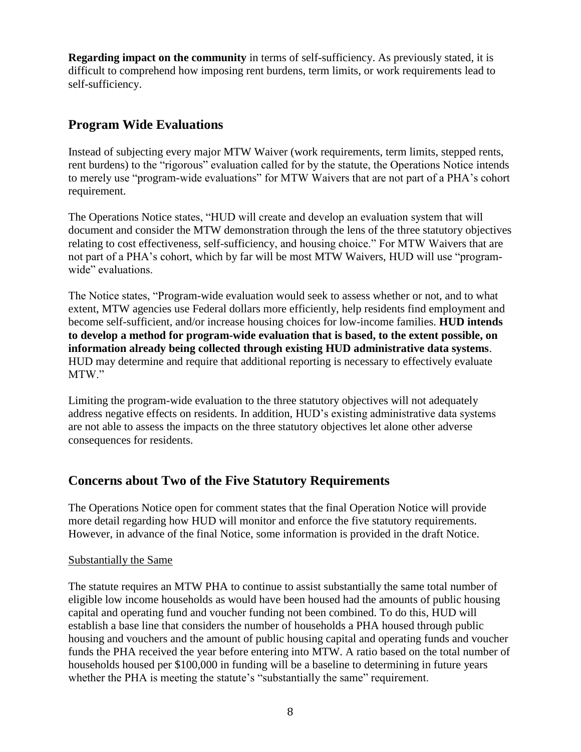**Regarding impact on the community** in terms of self-sufficiency. As previously stated, it is difficult to comprehend how imposing rent burdens, term limits, or work requirements lead to self-sufficiency.

## **Program Wide Evaluations**

Instead of subjecting every major MTW Waiver (work requirements, term limits, stepped rents, rent burdens) to the "rigorous" evaluation called for by the statute, the Operations Notice intends to merely use "program-wide evaluations" for MTW Waivers that are not part of a PHA's cohort requirement.

The Operations Notice states, "HUD will create and develop an evaluation system that will document and consider the MTW demonstration through the lens of the three statutory objectives relating to cost effectiveness, self-sufficiency, and housing choice." For MTW Waivers that are not part of a PHA's cohort, which by far will be most MTW Waivers, HUD will use "programwide" evaluations.

The Notice states, "Program-wide evaluation would seek to assess whether or not, and to what extent, MTW agencies use Federal dollars more efficiently, help residents find employment and become self-sufficient, and/or increase housing choices for low-income families. **HUD intends to develop a method for program-wide evaluation that is based, to the extent possible, on information already being collected through existing HUD administrative data systems**. HUD may determine and require that additional reporting is necessary to effectively evaluate MTW."

Limiting the program-wide evaluation to the three statutory objectives will not adequately address negative effects on residents. In addition, HUD's existing administrative data systems are not able to assess the impacts on the three statutory objectives let alone other adverse consequences for residents.

## **Concerns about Two of the Five Statutory Requirements**

The Operations Notice open for comment states that the final Operation Notice will provide more detail regarding how HUD will monitor and enforce the five statutory requirements. However, in advance of the final Notice, some information is provided in the draft Notice.

### Substantially the Same

The statute requires an MTW PHA to continue to assist substantially the same total number of eligible low income households as would have been housed had the amounts of public housing capital and operating fund and voucher funding not been combined. To do this, HUD will establish a base line that considers the number of households a PHA housed through public housing and vouchers and the amount of public housing capital and operating funds and voucher funds the PHA received the year before entering into MTW. A ratio based on the total number of households housed per \$100,000 in funding will be a baseline to determining in future years whether the PHA is meeting the statute's "substantially the same" requirement.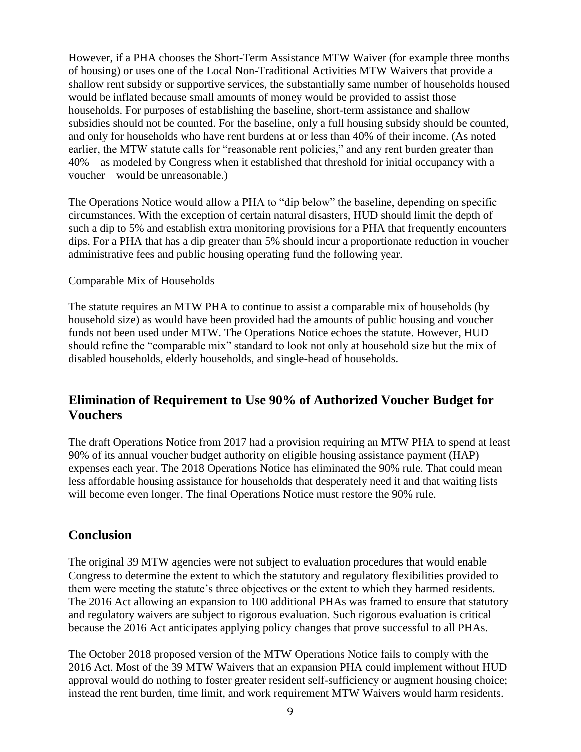However, if a PHA chooses the Short-Term Assistance MTW Waiver (for example three months of housing) or uses one of the Local Non-Traditional Activities MTW Waivers that provide a shallow rent subsidy or supportive services, the substantially same number of households housed would be inflated because small amounts of money would be provided to assist those households. For purposes of establishing the baseline, short-term assistance and shallow subsidies should not be counted. For the baseline, only a full housing subsidy should be counted, and only for households who have rent burdens at or less than 40% of their income. (As noted earlier, the MTW statute calls for "reasonable rent policies," and any rent burden greater than 40% – as modeled by Congress when it established that threshold for initial occupancy with a voucher – would be unreasonable.)

The Operations Notice would allow a PHA to "dip below" the baseline, depending on specific circumstances. With the exception of certain natural disasters, HUD should limit the depth of such a dip to 5% and establish extra monitoring provisions for a PHA that frequently encounters dips. For a PHA that has a dip greater than 5% should incur a proportionate reduction in voucher administrative fees and public housing operating fund the following year.

#### Comparable Mix of Households

The statute requires an MTW PHA to continue to assist a comparable mix of households (by household size) as would have been provided had the amounts of public housing and voucher funds not been used under MTW. The Operations Notice echoes the statute. However, HUD should refine the "comparable mix" standard to look not only at household size but the mix of disabled households, elderly households, and single-head of households.

## **Elimination of Requirement to Use 90% of Authorized Voucher Budget for Vouchers**

The draft Operations Notice from 2017 had a provision requiring an MTW PHA to spend at least 90% of its annual voucher budget authority on eligible housing assistance payment (HAP) expenses each year. The 2018 Operations Notice has eliminated the 90% rule. That could mean less affordable housing assistance for households that desperately need it and that waiting lists will become even longer. The final Operations Notice must restore the 90% rule.

### **Conclusion**

The original 39 MTW agencies were not subject to evaluation procedures that would enable Congress to determine the extent to which the statutory and regulatory flexibilities provided to them were meeting the statute's three objectives or the extent to which they harmed residents. The 2016 Act allowing an expansion to 100 additional PHAs was framed to ensure that statutory and regulatory waivers are subject to rigorous evaluation. Such rigorous evaluation is critical because the 2016 Act anticipates applying policy changes that prove successful to all PHAs.

The October 2018 proposed version of the MTW Operations Notice fails to comply with the 2016 Act. Most of the 39 MTW Waivers that an expansion PHA could implement without HUD approval would do nothing to foster greater resident self-sufficiency or augment housing choice; instead the rent burden, time limit, and work requirement MTW Waivers would harm residents.